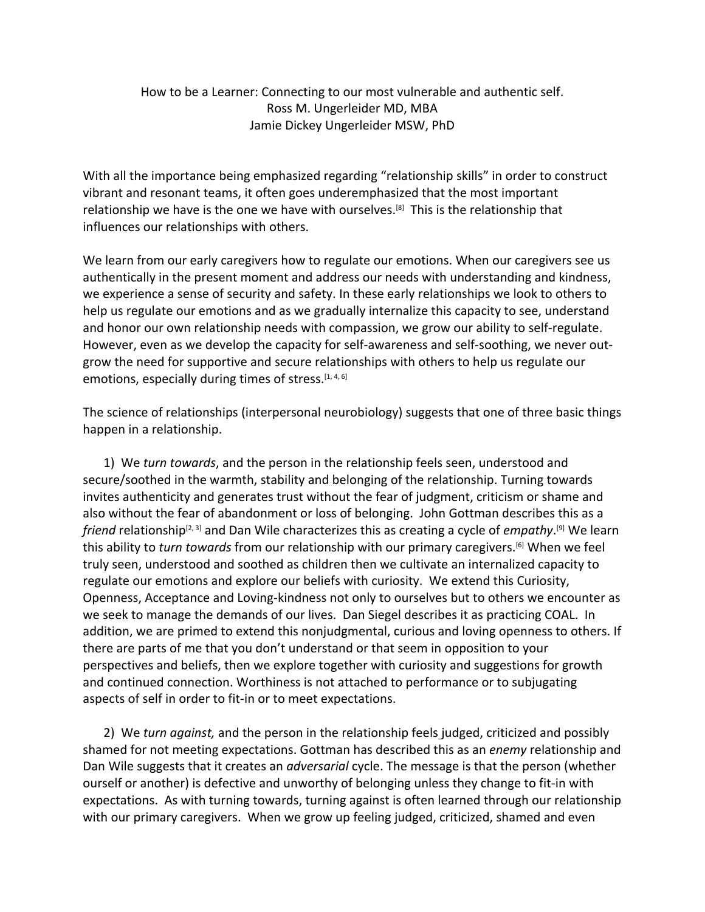## How to be a Learner: Connecting to our most vulnerable and authentic self. Ross M. Ungerleider MD, MBA Jamie Dickey Ungerleider MSW, PhD

With all the importance being emphasized regarding "relationship skills" in order to construct vibrant and resonant teams, it often goes underemphasized that the most important relationship we have is the one we have with ourselves.<sup>[8]</sup> This is the relationship that influences our relationships with others.

We learn from our early caregivers how to regulate our emotions. When our caregivers see us authentically in the present moment and address our needs with understanding and kindness, we experience a sense of security and safety. In these early relationships we look to others to help us regulate our emotions and as we gradually internalize this capacity to see, understand and honor our own relationship needs with compassion, we grow our ability to self-regulate. However, even as we develop the capacity for self-awareness and self-soothing, we never outgrow the need for supportive and secure relationships with others to help us regulate our emotions, especially during times of stress.<sup>[1, 4, 6]</sup>

The science of relationships (interpersonal neurobiology) suggests that one of three basic things happen in a relationship.

1) We *turn towards*, and the person in the relationship feels seen, understood and secure/soothed in the warmth, stability and belonging of the relationship. Turning towards invites authenticity and generates trust without the fear of judgment, criticism or shame and also without the fear of abandonment or loss of belonging. John Gottman describes this as a friend relationship<sup>[2, 3]</sup> and Dan Wile characterizes this as creating a cycle of *empathy*.<sup>[9]</sup> We learn this ability to *turn towards* from our relationship with our primary caregivers.[6] When we feel truly seen, understood and soothed as children then we cultivate an internalized capacity to regulate our emotions and explore our beliefs with curiosity. We extend this Curiosity, Openness, Acceptance and Loving-kindness not only to ourselves but to others we encounter as we seek to manage the demands of our lives. Dan Siegel describes it as practicing COAL. In addition, we are primed to extend this nonjudgmental, curious and loving openness to others. If there are parts of me that you don't understand or that seem in opposition to your perspectives and beliefs, then we explore together with curiosity and suggestions for growth and continued connection. Worthiness is not attached to performance or to subjugating aspects of self in order to fit-in or to meet expectations.

2) We *turn against,* and the person in the relationship feels judged, criticized and possibly shamed for not meeting expectations. Gottman has described this as an *enemy* relationship and Dan Wile suggests that it creates an *adversarial* cycle. The message is that the person (whether ourself or another) is defective and unworthy of belonging unless they change to fit-in with expectations. As with turning towards, turning against is often learned through our relationship with our primary caregivers. When we grow up feeling judged, criticized, shamed and even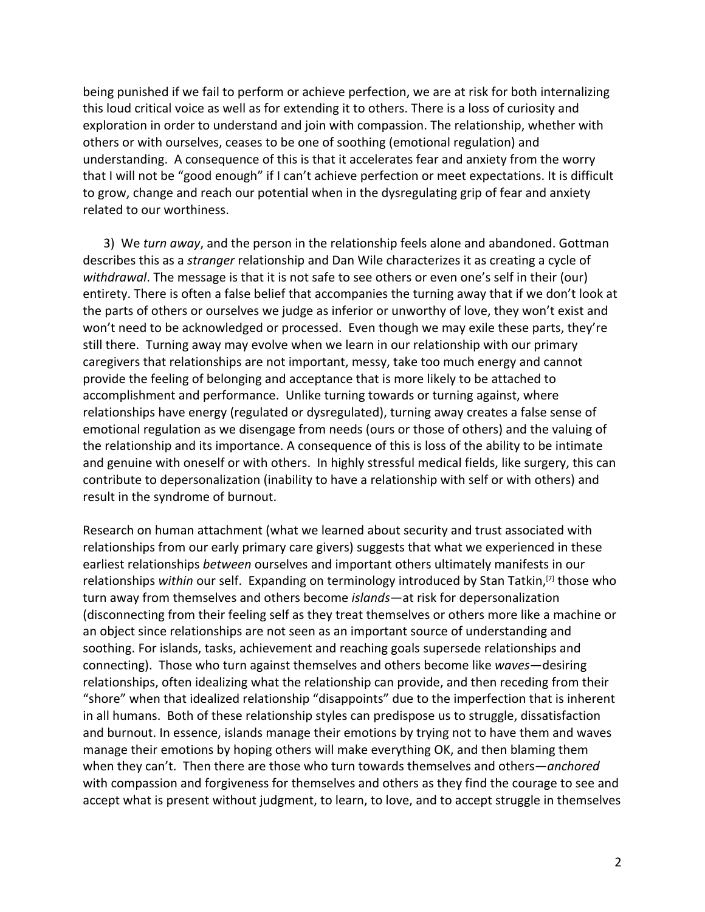being punished if we fail to perform or achieve perfection, we are at risk for both internalizing this loud critical voice as well as for extending it to others. There is a loss of curiosity and exploration in order to understand and join with compassion. The relationship, whether with others or with ourselves, ceases to be one of soothing (emotional regulation) and understanding. A consequence of this is that it accelerates fear and anxiety from the worry that I will not be "good enough" if I can't achieve perfection or meet expectations. It is difficult to grow, change and reach our potential when in the dysregulating grip of fear and anxiety related to our worthiness.

3) We *turn away*, and the person in the relationship feels alone and abandoned. Gottman describes this as a *stranger* relationship and Dan Wile characterizes it as creating a cycle of *withdrawal*. The message is that it is not safe to see others or even one's self in their (our) entirety. There is often a false belief that accompanies the turning away that if we don't look at the parts of others or ourselves we judge as inferior or unworthy of love, they won't exist and won't need to be acknowledged or processed. Even though we may exile these parts, they're still there. Turning away may evolve when we learn in our relationship with our primary caregivers that relationships are not important, messy, take too much energy and cannot provide the feeling of belonging and acceptance that is more likely to be attached to accomplishment and performance. Unlike turning towards or turning against, where relationships have energy (regulated or dysregulated), turning away creates a false sense of emotional regulation as we disengage from needs (ours or those of others) and the valuing of the relationship and its importance. A consequence of this is loss of the ability to be intimate and genuine with oneself or with others. In highly stressful medical fields, like surgery, this can contribute to depersonalization (inability to have a relationship with self or with others) and result in the syndrome of burnout.

Research on human attachment (what we learned about security and trust associated with relationships from our early primary care givers) suggests that what we experienced in these earliest relationships *between* ourselves and important others ultimately manifests in our relationships *within* our self. Expanding on terminology introduced by Stan Tatkin,[7] those who turn away from themselves and others become *islands*—at risk for depersonalization (disconnecting from their feeling self as they treat themselves or others more like a machine or an object since relationships are not seen as an important source of understanding and soothing. For islands, tasks, achievement and reaching goals supersede relationships and connecting). Those who turn against themselves and others become like *waves*—desiring relationships, often idealizing what the relationship can provide, and then receding from their "shore" when that idealized relationship "disappoints" due to the imperfection that is inherent in all humans. Both of these relationship styles can predispose us to struggle, dissatisfaction and burnout. In essence, islands manage their emotions by trying not to have them and waves manage their emotions by hoping others will make everything OK, and then blaming them when they can't. Then there are those who turn towards themselves and others—*anchored* with compassion and forgiveness for themselves and others as they find the courage to see and accept what is present without judgment, to learn, to love, and to accept struggle in themselves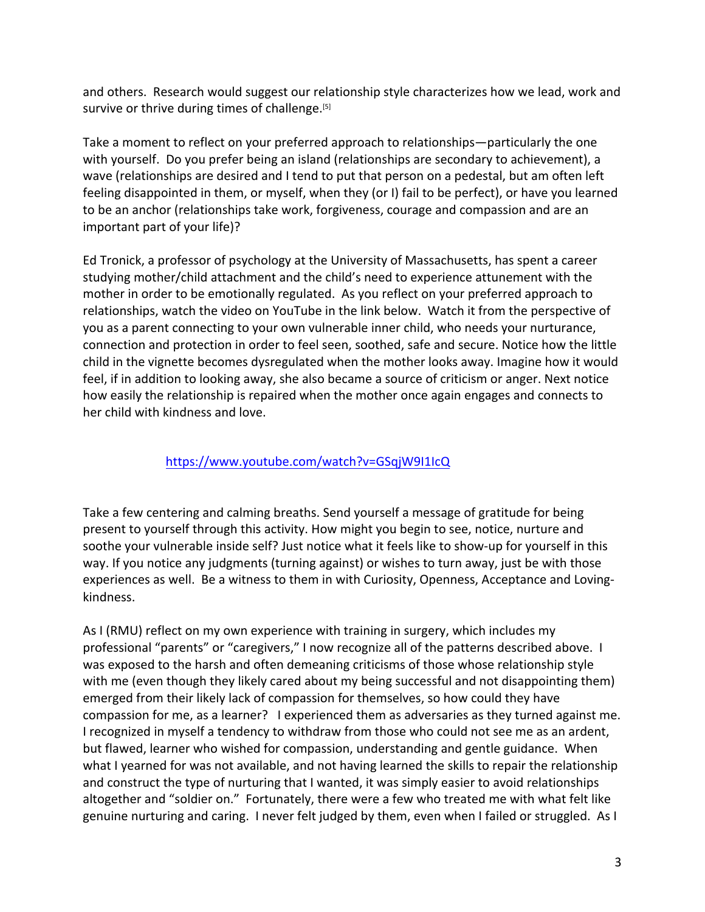and others. Research would suggest our relationship style characterizes how we lead, work and survive or thrive during times of challenge.<sup>[5]</sup>

Take a moment to reflect on your preferred approach to relationships—particularly the one with yourself. Do you prefer being an island (relationships are secondary to achievement), a wave (relationships are desired and I tend to put that person on a pedestal, but am often left feeling disappointed in them, or myself, when they (or I) fail to be perfect), or have you learned to be an anchor (relationships take work, forgiveness, courage and compassion and are an important part of your life)?

Ed Tronick, a professor of psychology at the University of Massachusetts, has spent a career studying mother/child attachment and the child's need to experience attunement with the mother in order to be emotionally regulated. As you reflect on your preferred approach to relationships, watch the video on YouTube in the link below. Watch it from the perspective of you as a parent connecting to your own vulnerable inner child, who needs your nurturance, connection and protection in order to feel seen, soothed, safe and secure. Notice how the little child in the vignette becomes dysregulated when the mother looks away. Imagine how it would feel, if in addition to looking away, she also became a source of criticism or anger. Next notice how easily the relationship is repaired when the mother once again engages and connects to her child with kindness and love.

## https://www.youtube.com/watch?v=GSqjW9I1IcQ

Take a few centering and calming breaths. Send yourself a message of gratitude for being present to yourself through this activity. How might you begin to see, notice, nurture and soothe your vulnerable inside self? Just notice what it feels like to show-up for yourself in this way. If you notice any judgments (turning against) or wishes to turn away, just be with those experiences as well. Be a witness to them in with Curiosity, Openness, Acceptance and Lovingkindness.

As I (RMU) reflect on my own experience with training in surgery, which includes my professional "parents" or "caregivers," I now recognize all of the patterns described above. I was exposed to the harsh and often demeaning criticisms of those whose relationship style with me (even though they likely cared about my being successful and not disappointing them) emerged from their likely lack of compassion for themselves, so how could they have compassion for me, as a learner? I experienced them as adversaries as they turned against me. I recognized in myself a tendency to withdraw from those who could not see me as an ardent, but flawed, learner who wished for compassion, understanding and gentle guidance. When what I yearned for was not available, and not having learned the skills to repair the relationship and construct the type of nurturing that I wanted, it was simply easier to avoid relationships altogether and "soldier on." Fortunately, there were a few who treated me with what felt like genuine nurturing and caring. I never felt judged by them, even when I failed or struggled. As I